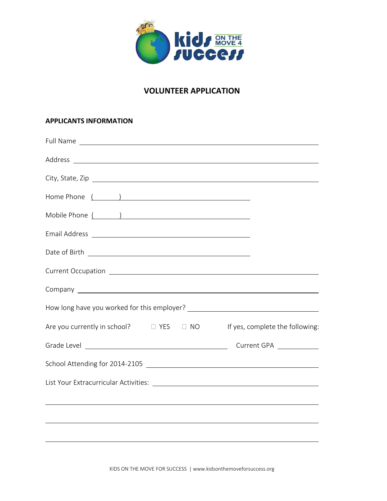

# **VOLUNTEER APPLICATION**

#### **APPLICANTS INFORMATION**

| Are you currently in school? $\Box$ YES $\Box$ NO | If yes, complete the following: |
|---------------------------------------------------|---------------------------------|
|                                                   | Current GPA ____________        |
|                                                   |                                 |
|                                                   |                                 |
|                                                   |                                 |
|                                                   |                                 |
|                                                   |                                 |

KIDS ON THE MOVE FOR SUCCESS | www.kidsonthemoveforsuccess.org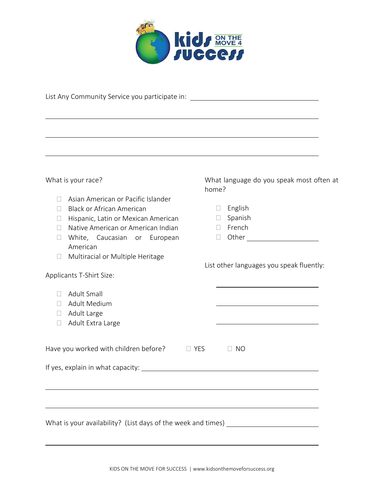

|                  | List Any Community Service you participate in: _________________________________ |            |                                          |  |
|------------------|----------------------------------------------------------------------------------|------------|------------------------------------------|--|
|                  |                                                                                  |            |                                          |  |
|                  | ,我们也不能在这里的时候,我们也不能在这里的时候,我们也不能会在这里的时候,我们也不能会在这里的时候,我们也不能会在这里的时候,我们也不能会在这里的时候,我们也 |            |                                          |  |
|                  |                                                                                  |            |                                          |  |
|                  |                                                                                  |            |                                          |  |
|                  | What is your race?                                                               | home?      | What language do you speak most often at |  |
| $\mathbf{L}$     | Asian American or Pacific Islander                                               |            |                                          |  |
| $\Box$           | <b>Black or African American</b>                                                 | $\Box$     | English                                  |  |
| $\Box$           | Hispanic, Latin or Mexican American                                              | $\Box$     | Spanish                                  |  |
| $\mathbf{L}$     | Native American or American Indian                                               | $\Box$     | French                                   |  |
| $\Box$           | White, Caucasian or European<br>American                                         | $\Box$     |                                          |  |
| $\Box$           | Multiracial or Multiple Heritage                                                 |            |                                          |  |
|                  |                                                                                  |            | List other languages you speak fluently: |  |
|                  | Applicants T-Shirt Size:                                                         |            |                                          |  |
|                  |                                                                                  |            |                                          |  |
| $\Box$           | Adult Small                                                                      |            |                                          |  |
| $\Box$<br>$\Box$ | Adult Medium<br>Adult Large                                                      |            |                                          |  |
| $\Box$           | Adult Extra Large                                                                |            |                                          |  |
|                  |                                                                                  |            |                                          |  |
|                  | Have you worked with children before?                                            | $\Box$ YES | $\Box$ NO                                |  |
|                  |                                                                                  |            |                                          |  |
|                  |                                                                                  |            |                                          |  |
|                  |                                                                                  |            |                                          |  |
|                  |                                                                                  |            |                                          |  |
|                  |                                                                                  |            |                                          |  |
|                  | What is your availability? (List days of the week and times) ___________________ |            |                                          |  |
|                  |                                                                                  |            |                                          |  |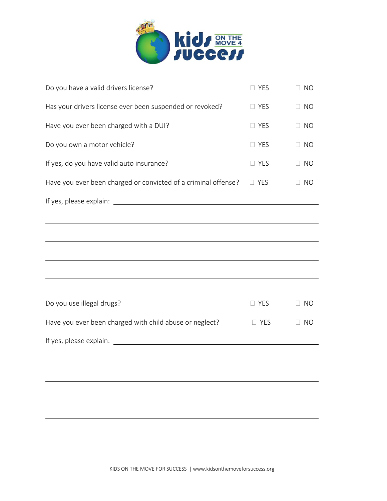

| Do you have a valid drivers license?                           | $\Box$ YES | $\Box$ NO |
|----------------------------------------------------------------|------------|-----------|
| Has your drivers license ever been suspended or revoked?       | $\Box$ YES | $\Box$ NO |
| Have you ever been charged with a DUI?                         | $\Box$ YES | $\Box$ NO |
| Do you own a motor vehicle?                                    | $\Box$ YES | $\Box$ NO |
| If yes, do you have valid auto insurance?                      | $\Box$ YES | $\Box$ NO |
| Have you ever been charged or convicted of a criminal offense? | $\Box$ YES | $\Box$ NO |
|                                                                |            |           |
|                                                                |            |           |
|                                                                |            |           |
|                                                                |            |           |
|                                                                |            |           |
|                                                                |            |           |
| Do you use illegal drugs?                                      | $\Box$ YES | $\Box$ NO |
| Have you ever been charged with child abuse or neglect?        | $\Box$ YES | $\Box$ NO |
|                                                                |            |           |
|                                                                |            |           |
|                                                                |            |           |
|                                                                |            |           |
|                                                                |            |           |
|                                                                |            |           |
|                                                                |            |           |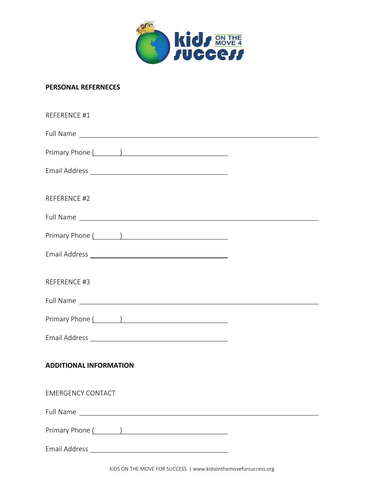

#### **PERSONAL REFERNECES**

| REFERENCE #1                                                                                                                                                                                                                   |  |
|--------------------------------------------------------------------------------------------------------------------------------------------------------------------------------------------------------------------------------|--|
| Full Name Lawrence and the second contract of the second contract of the second contract of the second contract of the second contract of the second contract of the second contract of the second contract of the second cont |  |
| Primary Phone ( )                                                                                                                                                                                                              |  |
|                                                                                                                                                                                                                                |  |
| REFERENCE #2                                                                                                                                                                                                                   |  |
|                                                                                                                                                                                                                                |  |
|                                                                                                                                                                                                                                |  |
|                                                                                                                                                                                                                                |  |
| REFERENCE #3                                                                                                                                                                                                                   |  |
|                                                                                                                                                                                                                                |  |
| Primary Phone ( )                                                                                                                                                                                                              |  |
|                                                                                                                                                                                                                                |  |
| <b>ADDITIONAL INFORMATION</b>                                                                                                                                                                                                  |  |
| <b>EMERGENCY CONTACT</b>                                                                                                                                                                                                       |  |
| Full Name Late and the second state of the second state of the second state of the second state of the second state of the second state of the second state of the second state of the second state of the second state of the |  |
| Primary Phone (1999) (1999) (1999) (1999) (1999) (1999) (1999) (1999) (1999) (1999) (1999) (1999) (1999) (199                                                                                                                  |  |
|                                                                                                                                                                                                                                |  |

KIDS ON THE MOVE FOR SUCCESS | www.kidsonthemoveforsuccess.org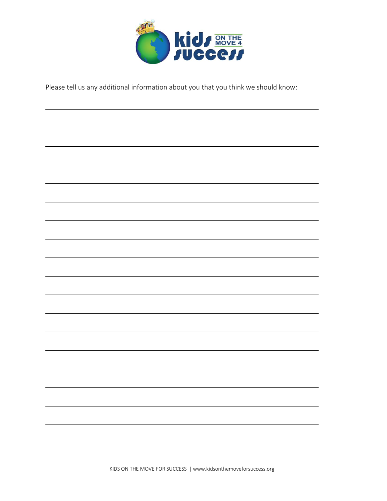

Please tell us any additional information about you that you think we should know: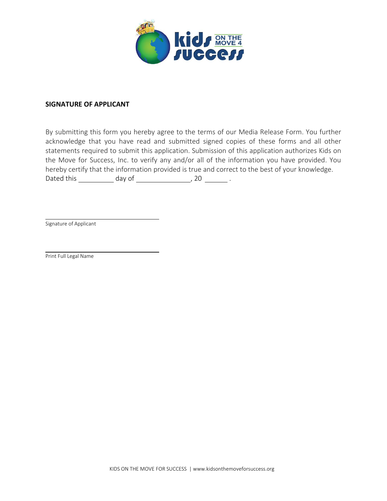

#### **SIGNATURE OF APPLICANT**

By submitting this form you hereby agree to the terms of our Media Release Form. You further acknowledge that you have read and submitted signed copies of these forms and all other statements required to submit this application. Submission of this application authorizes Kids on the Move for Success, Inc. to verify any and/or all of the information you have provided. You hereby certify that the information provided is true and correct to the best of your knowledge. Dated this  $\frac{1}{2}$  day of  $\frac{1}{2}$  20  $\frac{1}{2}$ .

Signature of Applicant

Print Full Legal Name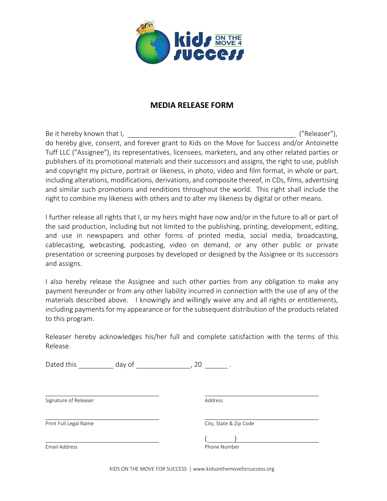

## **MEDIA RELEASE FORM**

Be it hereby known that I, the same state of the set of the set of the set of the set of the set of the set of the set of the set of the set of the set of the set of the set of the set of the set of the set of the set of t do hereby give, consent, and forever grant to Kids on the Move for Success and/or Antoinette Tuff LLC ("Assignee"), its representatives, licensees, marketers, and any other related parties or publishers of its promotional materials and their successors and assigns, the right to use, publish and copyright my picture, portrait or likeness, in photo, video and film format, in whole or part, including alterations, modifications, derivations, and composite thereof, in CDs, films, advertising and similar such promotions and renditions throughout the world. This right shall include the right to combine my likeness with others and to alter my likeness by digital or other means.

I further release all rights that I, or my heirs might have now and/or in the future to all or part of the said production, including but not limited to the publishing, printing, development, editing, and use in newspapers and other forms of printed media, social media, broadcasting, cablecasting, webcasting, podcasting, video on demand, or any other public or private presentation or screening purposes by developed or designed by the Assignee or its successors and assigns.

I also hereby release the Assignee and such other parties from any obligation to make any payment hereunder or from any other liability incurred in connection with the use of any of the materials described above. I knowingly and willingly waive any and all rights or entitlements, including payments for my appearance or for the subsequent distribution of the products related to this program.

Releaser hereby acknowledges his/her full and complete satisfaction with the terms of this Release.

Dated this  $\qquad \qquad$  day of  $\qquad \qquad$  , 20  $\qquad \qquad$  .

Signature of Releaser **Address** Address

Print Full Legal Name City, State & Zip Code

Email Address **Phone Number** 

 $($   $)$